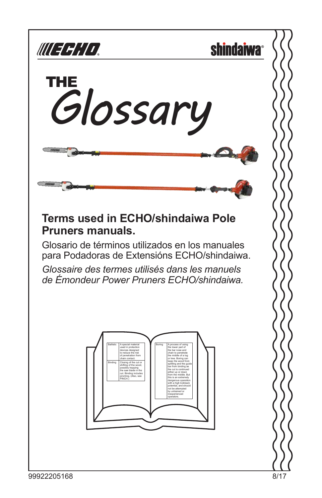





#### **Terms used in ECHO/shindaiwa Pole Pruners manuals.**

Glosario de términos utilizados en los manuales para Podadoras de Extensións ECHO/shindaiwa.

*Glossaire des termes utilisés dans les manuels de Émondeur Power Pruners ECHO/shindaiwa.*

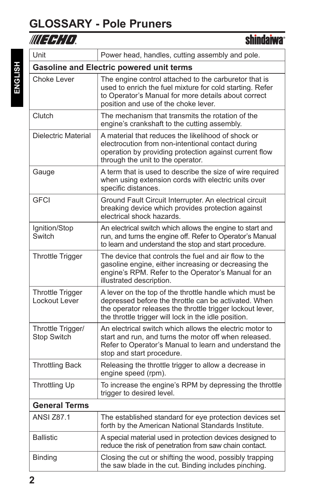#### **GLOSSARY - Pole Pruners**

**shindaiwa**<sup>®</sup>

| Unit                                     | Power head, handles, cutting assembly and pole.                                                                                                                                                                                      |
|------------------------------------------|--------------------------------------------------------------------------------------------------------------------------------------------------------------------------------------------------------------------------------------|
|                                          | <b>Gasoline and Electric powered unit terms</b>                                                                                                                                                                                      |
| Choke Lever                              | The engine control attached to the carburetor that is<br>used to enrich the fuel mixture for cold starting. Refer<br>to Operator's Manual for more details about correct<br>position and use of the choke lever.                     |
| Clutch                                   | The mechanism that transmits the rotation of the<br>engine's crankshaft to the cutting assembly.                                                                                                                                     |
| Dielectric Material                      | A material that reduces the likelihood of shock or<br>electrocution from non-intentional contact during<br>operation by providing protection against current flow<br>through the unit to the operator.                               |
| Gauge                                    | A term that is used to describe the size of wire required<br>when using extension cords with electric units over<br>specific distances.                                                                                              |
| <b>GFCI</b>                              | Ground Fault Circuit Interrupter. An electrical circuit<br>breaking device which provides protection against<br>electrical shock hazards.                                                                                            |
| Ignition/Stop<br>Switch                  | An electrical switch which allows the engine to start and<br>run, and turns the engine off. Refer to Operator's Manual<br>to learn and understand the stop and start procedure.                                                      |
| <b>Throttle Trigger</b>                  | The device that controls the fuel and air flow to the<br>gasoline engine, either increasing or decreasing the<br>engine's RPM. Refer to the Operator's Manual for an<br>illustrated description.                                     |
| <b>Throttle Trigger</b><br>Lockout Lever | A lever on the top of the throttle handle which must be<br>depressed before the throttle can be activated. When<br>the operator releases the throttle trigger lockout lever,<br>the throttle trigger will lock in the idle position. |
| Throttle Trigger/<br>Stop Switch         | An electrical switch which allows the electric motor to<br>start and run, and turns the motor off when released.<br>Refer to Operator's Manual to learn and understand the<br>stop and start procedure.                              |
| <b>Throttling Back</b>                   | Releasing the throttle trigger to allow a decrease in<br>engine speed (rpm).                                                                                                                                                         |
| <b>Throttling Up</b>                     | To increase the engine's RPM by depressing the throttle<br>trigger to desired level.                                                                                                                                                 |
| <b>General Terms</b>                     |                                                                                                                                                                                                                                      |
| <b>ANSI Z87.1</b>                        | The established standard for eye protection devices set<br>forth by the American National Standards Institute.                                                                                                                       |
| <b>Ballistic</b>                         | A special material used in protection devices designed to<br>reduce the risk of penetration from saw chain contact.                                                                                                                  |
| Binding                                  | Closing the cut or shifting the wood, possibly trapping<br>the saw blade in the cut. Binding includes pinching.                                                                                                                      |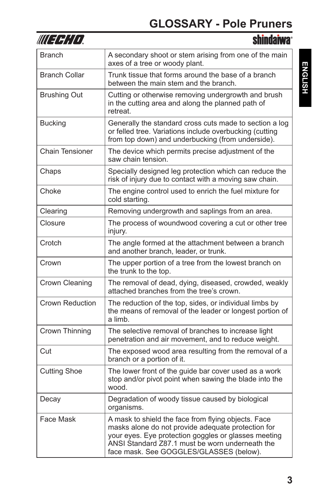| III EEHTI              | <b>shindaiwa</b>                                                                                                                                                                                                                                                |
|------------------------|-----------------------------------------------------------------------------------------------------------------------------------------------------------------------------------------------------------------------------------------------------------------|
| <b>Branch</b>          | A secondary shoot or stem arising from one of the main<br>axes of a tree or woody plant.                                                                                                                                                                        |
| <b>Branch Collar</b>   | Trunk tissue that forms around the base of a branch<br>between the main stem and the branch.                                                                                                                                                                    |
| <b>Brushing Out</b>    | Cutting or otherwise removing undergrowth and brush<br>in the cutting area and along the planned path of<br>retreat.                                                                                                                                            |
| Bucking                | Generally the standard cross cuts made to section a log<br>or felled tree. Variations include overbucking (cutting<br>from top down) and underbucking (from underside).                                                                                         |
| <b>Chain Tensioner</b> | The device which permits precise adjustment of the<br>saw chain tension.                                                                                                                                                                                        |
| Chaps                  | Specially designed leg protection which can reduce the<br>risk of injury due to contact with a moving saw chain.                                                                                                                                                |
| Choke                  | The engine control used to enrich the fuel mixture for<br>cold starting.                                                                                                                                                                                        |
| Clearing               | Removing undergrowth and saplings from an area.                                                                                                                                                                                                                 |
| Closure                | The process of woundwood covering a cut or other tree<br>injury.                                                                                                                                                                                                |
| Crotch                 | The angle formed at the attachment between a branch<br>and another branch, leader, or trunk.                                                                                                                                                                    |
| Crown                  | The upper portion of a tree from the lowest branch on<br>the trunk to the top.                                                                                                                                                                                  |
| Crown Cleaning         | The removal of dead, dying, diseased, crowded, weakly<br>attached branches from the tree's crown.                                                                                                                                                               |
| Crown Reduction        | The reduction of the top, sides, or individual limbs by<br>the means of removal of the leader or longest portion of<br>a limb.                                                                                                                                  |
| Crown Thinning         | The selective removal of branches to increase light<br>penetration and air movement, and to reduce weight.                                                                                                                                                      |
| Cut                    | The exposed wood area resulting from the removal of a<br>branch or a portion of it.                                                                                                                                                                             |
| <b>Cutting Shoe</b>    | The lower front of the guide bar cover used as a work<br>stop and/or pivot point when sawing the blade into the<br>wood.                                                                                                                                        |
| Decay                  | Degradation of woody tissue caused by biological<br>organisms.                                                                                                                                                                                                  |
| Face Mask              | A mask to shield the face from flying objects. Face<br>masks alone do not provide adequate protection for<br>your eyes. Eye protection goggles or glasses meeting<br>ANSI Standard Z87.1 must be worn underneath the<br>face mask. See GOGGLES/GLASSES (below). |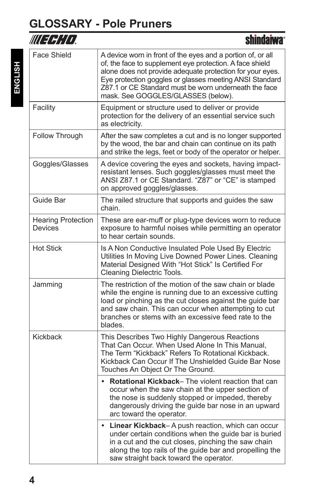### **GLOSSARY - Pole Pruners**

| WLEEH LD                             | shindaiwa®                                                                                                                                                                                                                                                                                                                                     |
|--------------------------------------|------------------------------------------------------------------------------------------------------------------------------------------------------------------------------------------------------------------------------------------------------------------------------------------------------------------------------------------------|
| <b>Face Shield</b>                   | A device worn in front of the eyes and a portion of, or all<br>of, the face to supplement eye protection. A face shield<br>alone does not provide adequate protection for your eyes.<br>Eye protection goggles or glasses meeting ANSI Standard<br>Z87.1 or CE Standard must be worn underneath the face<br>mask. See GOGGLES/GLASSES (below). |
| Facility                             | Equipment or structure used to deliver or provide<br>protection for the delivery of an essential service such<br>as electricity.                                                                                                                                                                                                               |
| Follow Through                       | After the saw completes a cut and is no longer supported<br>by the wood, the bar and chain can continue on its path<br>and strike the legs, feet or body of the operator or helper.                                                                                                                                                            |
| Goggles/Glasses                      | A device covering the eyes and sockets, having impact-<br>resistant lenses. Such goggles/glasses must meet the<br>ANSI Z87.1 or CE Standard. "Z87" or "CE" is stamped<br>on approved goggles/glasses.                                                                                                                                          |
| Guide Bar                            | The railed structure that supports and guides the saw<br>chain.                                                                                                                                                                                                                                                                                |
| <b>Hearing Protection</b><br>Devices | These are ear-muff or plug-type devices worn to reduce<br>exposure to harmful noises while permitting an operator<br>to hear certain sounds.                                                                                                                                                                                                   |
| <b>Hot Stick</b>                     | Is A Non Conductive Insulated Pole Used By Electric<br>Utilities In Moving Live Downed Power Lines. Cleaning<br>Material Designed With "Hot Stick" Is Certified For<br>Cleaning Dielectric Tools.                                                                                                                                              |
| Jamming                              | The restriction of the motion of the saw chain or blade<br>while the engine is running due to an excessive cutting<br>load or pinching as the cut closes against the guide bar<br>and saw chain. This can occur when attempting to cut<br>branches or stems with an excessive feed rate to the<br>blades.                                      |
| Kickback                             | This Describes Two Highly Dangerous Reactions<br>That Can Occur. When Used Alone In This Manual,<br>The Term "Kickback" Refers To Rotational Kickback.<br>Kickback Can Occur If The Unshielded Guide Bar Nose<br>Touches An Object Or The Ground.                                                                                              |
|                                      | Rotational Kickback- The violent reaction that can<br>occur when the saw chain at the upper section of<br>the nose is suddenly stopped or impeded, thereby<br>dangerously driving the guide bar nose in an upward<br>arc toward the operator.                                                                                                  |
|                                      | • Linear Kickback-A push reaction, which can occur<br>under certain conditions when the guide bar is buried<br>in a cut and the cut closes, pinching the saw chain<br>along the top rails of the guide bar and propelling the<br>saw straight back toward the operator.                                                                        |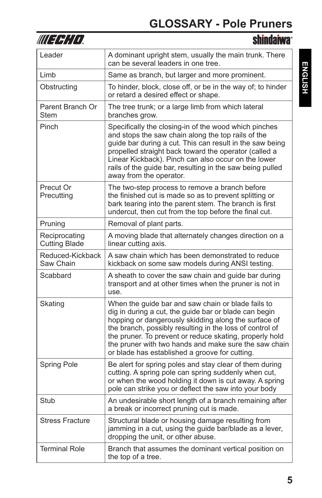| WU 3 3 1 1 1                          | <b>shindaiwa</b> ®                                                                                                                                                                                                                                                                                                                                                                                    |
|---------------------------------------|-------------------------------------------------------------------------------------------------------------------------------------------------------------------------------------------------------------------------------------------------------------------------------------------------------------------------------------------------------------------------------------------------------|
| Leader                                | A dominant upright stem, usually the main trunk. There<br>can be several leaders in one tree.                                                                                                                                                                                                                                                                                                         |
| Limb                                  | Same as branch, but larger and more prominent.                                                                                                                                                                                                                                                                                                                                                        |
| Obstructing                           | To hinder, block, close off, or be in the way of; to hinder<br>or retard a desired effect or shape.                                                                                                                                                                                                                                                                                                   |
| Parent Branch Or<br>Stem              | The tree trunk; or a large limb from which lateral<br>branches grow.                                                                                                                                                                                                                                                                                                                                  |
| Pinch                                 | Specifically the closing-in of the wood which pinches<br>and stops the saw chain along the top rails of the<br>guide bar during a cut. This can result in the saw being<br>propelled straight back toward the operator (called a<br>Linear Kickback). Pinch can also occur on the lower<br>rails of the guide bar, resulting in the saw being pulled<br>away from the operator.                       |
| Precut Or<br>Precutting               | The two-step process to remove a branch before<br>the finished cut is made so as to prevent splitting or<br>bark tearing into the parent stem. The branch is first<br>undercut, then cut from the top before the final cut.                                                                                                                                                                           |
| Pruning                               | Removal of plant parts.                                                                                                                                                                                                                                                                                                                                                                               |
| Reciprocating<br><b>Cutting Blade</b> | A moving blade that alternately changes direction on a<br>linear cutting axis.                                                                                                                                                                                                                                                                                                                        |
| Reduced-Kickback<br>Saw Chain         | A saw chain which has been demonstrated to reduce<br>kickback on some saw models during ANSI testing.                                                                                                                                                                                                                                                                                                 |
| Scabbard                              | A sheath to cover the saw chain and guide bar during<br>transport and at other times when the pruner is not in<br>use.                                                                                                                                                                                                                                                                                |
| Skating                               | When the guide bar and saw chain or blade fails to<br>dig in during a cut, the guide bar or blade can begin<br>hopping or dangerously skidding along the surface of<br>the branch, possibly resulting in the loss of control of<br>the pruner. To prevent or reduce skating, properly hold<br>the pruner with two hands and make sure the saw chain<br>or blade has established a groove for cutting. |
| Spring Pole                           | Be alert for spring poles and stay clear of them during<br>cutting. A spring pole can spring suddenly when cut,<br>or when the wood holding it down is cut away. A spring<br>pole can strike you or deflect the saw into your body                                                                                                                                                                    |
| Stub                                  | An undesirable short length of a branch remaining after<br>a break or incorrect pruning cut is made.                                                                                                                                                                                                                                                                                                  |
| <b>Stress Fracture</b>                | Structural blade or housing damage resulting from<br>jamming in a cut, using the guide bar/blade as a lever,<br>dropping the unit, or other abuse.                                                                                                                                                                                                                                                    |
| <b>Terminal Role</b>                  | Branch that assumes the dominant vertical position on<br>the top of a tree.                                                                                                                                                                                                                                                                                                                           |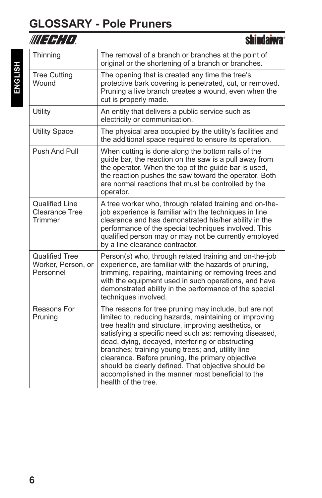## **GLOSSARY - Pole Pruners**

| WUFFHID.                                                  | <b>shindaiwa</b> ®                                                                                                                                                                                                                                                                                                                                                                                                                                                                                                               |
|-----------------------------------------------------------|----------------------------------------------------------------------------------------------------------------------------------------------------------------------------------------------------------------------------------------------------------------------------------------------------------------------------------------------------------------------------------------------------------------------------------------------------------------------------------------------------------------------------------|
| Thinning                                                  | The removal of a branch or branches at the point of<br>original or the shortening of a branch or branches.                                                                                                                                                                                                                                                                                                                                                                                                                       |
| <b>Tree Cutting</b><br>Wound                              | The opening that is created any time the tree's<br>protective bark covering is penetrated, cut, or removed.<br>Pruning a live branch creates a wound, even when the<br>cut is properly made.                                                                                                                                                                                                                                                                                                                                     |
| Utility                                                   | An entity that delivers a public service such as<br>electricity or communication.                                                                                                                                                                                                                                                                                                                                                                                                                                                |
| <b>Utility Space</b>                                      | The physical area occupied by the utility's facilities and<br>the additional space required to ensure its operation.                                                                                                                                                                                                                                                                                                                                                                                                             |
| Push And Pull                                             | When cutting is done along the bottom rails of the<br>guide bar, the reaction on the saw is a pull away from<br>the operator. When the top of the guide bar is used,<br>the reaction pushes the saw toward the operator. Both<br>are normal reactions that must be controlled by the<br>operator.                                                                                                                                                                                                                                |
| <b>Qualified Line</b><br><b>Clearance Tree</b><br>Trimmer | A tree worker who, through related training and on-the-<br>job experience is familiar with the techniques in line<br>clearance and has demonstrated his/her ability in the<br>performance of the special techniques involved. This<br>qualified person may or may not be currently employed<br>by a line clearance contractor.                                                                                                                                                                                                   |
| <b>Qualified Tree</b><br>Worker, Person, or<br>Personnel  | Person(s) who, through related training and on-the-job<br>experience, are familiar with the hazards of pruning,<br>trimming, repairing, maintaining or removing trees and<br>with the equipment used in such operations, and have<br>demonstrated ability in the performance of the special<br>techniques involved.                                                                                                                                                                                                              |
| Reasons For<br>Pruning                                    | The reasons for tree pruning may include, but are not<br>limited to, reducing hazards, maintaining or improving<br>tree health and structure, improving aesthetics, or<br>satisfying a specific need such as: removing diseased,<br>dead, dying, decayed, interfering or obstructing<br>branches; training young trees; and, utility line<br>clearance. Before pruning, the primary objective<br>should be clearly defined. That objective should be<br>accomplished in the manner most beneficial to the<br>health of the tree. |

ENGLISH **ENGLISH**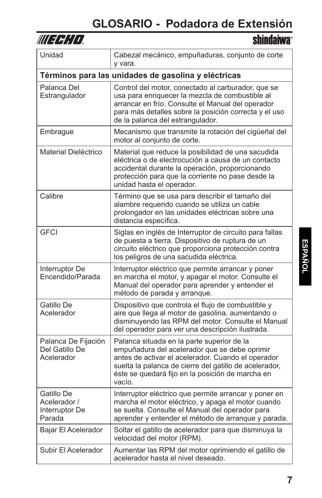| 7<br>,, |
|---------|
|---------|

| Unidad                                                 | Cabezal mecánico, empuñaduras, conjunto de corte<br>y vara.                                                                                                                                                                                                               |
|--------------------------------------------------------|---------------------------------------------------------------------------------------------------------------------------------------------------------------------------------------------------------------------------------------------------------------------------|
|                                                        | Términos para las unidades de gasolina y eléctricas                                                                                                                                                                                                                       |
| Palanca Del<br>Estrangulador                           | Control del motor, conectado al carburador, que se<br>usa para enriquecer la mezcla de combustible al<br>arrancar en frío. Consulte el Manual del operador<br>para más detalles sobre la posición correcta y el uso<br>de la palanca del estrangulador.                   |
| Embrague                                               | Mecanismo que transmite la rotación del cigüeñal del<br>motor al conjunto de corte.                                                                                                                                                                                       |
| Material Dieléctrico                                   | Material que reduce la posibilidad de una sacudida<br>eléctrica o de electrocución a causa de un contacto<br>accidental durante la operación, proporcionando<br>protección para que la corriente no pase desde la<br>unidad hasta el operador.                            |
| Calibre                                                | Término que se usa para describir el tamaño del<br>alambre requerido cuando se utiliza un cable<br>prolongador en las unidades eléctricas sobre una<br>distancia específica.                                                                                              |
| <b>GFCI</b>                                            | Siglas en inglés de Interruptor de circuito para fallas<br>de puesta a tierra. Dispositivo de ruptura de un<br>circuito eléctrico que proporciona protección contra<br>los peligros de una sacudida eléctrica.                                                            |
| Interruptor De<br>Encendido/Parada                     | Interruptor eléctrico que permite arrancar y poner<br>en marcha el motor, y apagar el motor. Consulte el<br>Manual del operador para aprender y entender el<br>método de parada y arranque.                                                                               |
| Gatillo De<br>Acelerador                               | Dispositivo que controla el flujo de combustible y<br>aire que llega al motor de gasolina, aumentando o<br>disminuyendo las RPM del motor. Consulte el Manual<br>del operador para ver una descripción ilustrada.                                                         |
| Palanca De Fijación<br>Del Gatillo De<br>Acelerador    | Palanca situada en la parte superior de la<br>empuñadura del acelerador que se debe oprimir<br>antes de activar el acelerador. Cuando el operador<br>suelta la palanca de cierre del gatillo de acelerador,<br>éste se quedará fijo en la posición de marcha en<br>vacío. |
| Gatillo De<br>Acelerador /<br>Interruptor De<br>Parada | Interruptor eléctrico que permite arrancar y poner en<br>marcha el motor eléctrico, y apaga el motor cuando<br>se suelta. Consulte el Manual del operador para<br>aprender y entender el método de arranque y parada.                                                     |
| Bajar El Acelerador                                    | Soltar el gatillo de acelerador para que disminuya la<br>velocidad del motor (RPM).                                                                                                                                                                                       |
| Subir El Acelerador                                    | Aumentar las RPM del motor oprimiendo el gatillo de<br>acelerador hasta el nivel deseado.                                                                                                                                                                                 |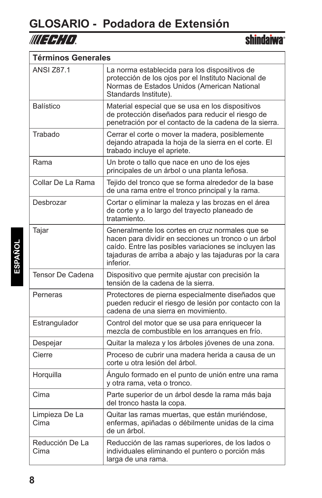

r

**shindaiwa**<sup>®</sup>

| Términos Generales      |                                                                                                                                                                                                                                          |
|-------------------------|------------------------------------------------------------------------------------------------------------------------------------------------------------------------------------------------------------------------------------------|
| <b>ANSI Z87.1</b>       | La norma establecida para los dispositivos de<br>protección de los ojos por el Instituto Nacional de<br>Normas de Estados Unidos (American National<br>Standards Institute).                                                             |
| <b>Balístico</b>        | Material especial que se usa en los dispositivos<br>de protección diseñados para reducir el riesgo de<br>penetración por el contacto de la cadena de la sierra.                                                                          |
| Trabado                 | Cerrar el corte o mover la madera, posiblemente<br>dejando atrapada la hoja de la sierra en el corte. El<br>trabado incluye el apriete.                                                                                                  |
| Rama                    | Un brote o tallo que nace en uno de los ejes<br>principales de un árbol o una planta leñosa.                                                                                                                                             |
| Collar De La Rama       | Tejido del tronco que se forma alrededor de la base<br>de una rama entre el tronco principal y la rama.                                                                                                                                  |
| Desbrozar               | Cortar o eliminar la maleza y las brozas en el área<br>de corte y a lo largo del trayecto planeado de<br>tratamiento.                                                                                                                    |
| Tajar                   | Generalmente los cortes en cruz normales que se<br>hacen para dividir en secciones un tronco o un árbol<br>caído. Entre las posibles variaciones se incluyen las<br>tajaduras de arriba a abajo y las tajaduras por la cara<br>inferior. |
| Tensor De Cadena        | Dispositivo que permite ajustar con precisión la<br>tensión de la cadena de la sierra.                                                                                                                                                   |
| Perneras                | Protectores de pierna especialmente diseñados que<br>pueden reducir el riesgo de lesión por contacto con la<br>cadena de una sierra en movimiento.                                                                                       |
| Estrangulador           | Control del motor que se usa para enriquecer la<br>mezcla de combustible en los arranques en frío.                                                                                                                                       |
| Despejar                | Quitar la maleza y los árboles jóvenes de una zona.                                                                                                                                                                                      |
| Cierre                  | Proceso de cubrir una madera herida a causa de un<br>corte u otra lesión del árbol.                                                                                                                                                      |
| Horquilla               | Ángulo formado en el punto de unión entre una rama<br>y otra rama, veta o tronco.                                                                                                                                                        |
| Cima                    | Parte superior de un árbol desde la rama más baja<br>del tronco hasta la copa.                                                                                                                                                           |
| Limpieza De La<br>Cima  | Quitar las ramas muertas, que están muriéndose,<br>enfermas, apiñadas o débilmente unidas de la cima<br>de un árbol.                                                                                                                     |
| Reducción De La<br>Cima | Reducción de las ramas superiores, de los lados o<br>individuales eliminando el puntero o porción más<br>larga de una rama.                                                                                                              |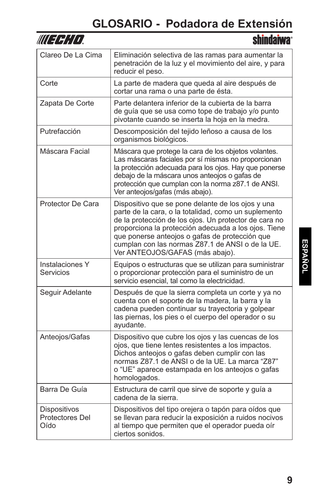| Clareo De La Cima                       | Eliminación selectiva de las ramas para aumentar la<br>penetración de la luz y el movimiento del aire, y para<br>reducir el peso.                                                                                                                                                                                                                                   |
|-----------------------------------------|---------------------------------------------------------------------------------------------------------------------------------------------------------------------------------------------------------------------------------------------------------------------------------------------------------------------------------------------------------------------|
| Corte                                   | La parte de madera que queda al aire después de<br>cortar una rama o una parte de ésta.                                                                                                                                                                                                                                                                             |
| Zapata De Corte                         | Parte delantera inferior de la cubierta de la barra<br>de guía que se usa como tope de trabajo y/o punto<br>pivotante cuando se inserta la hoja en la medra.                                                                                                                                                                                                        |
| Putrefacción                            | Descomposición del tejido leñoso a causa de los<br>organismos biológicos.                                                                                                                                                                                                                                                                                           |
| Máscara Facial                          | Máscara que protege la cara de los objetos volantes.<br>Las máscaras faciales por sí mismas no proporcionan<br>la protección adecuada para los ojos. Hay que ponerse<br>debajo de la máscara unos anteojos o gafas de<br>protección que cumplan con la norma z87.1 de ANSI.<br>Ver anteojos/gafas (más abajo).                                                      |
| Protector De Cara                       | Dispositivo que se pone delante de los ojos y una<br>parte de la cara, o la totalidad, como un suplemento<br>de la protección de los ojos. Un protector de cara no<br>proporciona la protección adecuada a los ojos. Tiene<br>que ponerse anteojos o gafas de protección que<br>cumplan con las normas Z87.1 de ANSI o de la UE.<br>Ver ANTEOJOS/GAFAS (más abajo). |
| Instalaciones Y<br>Servicios            | Equipos o estructuras que se utilizan para suministrar<br>o proporcionar protección para el suministro de un<br>servicio esencial, tal como la electricidad.                                                                                                                                                                                                        |
| Seguir Adelante                         | Después de que la sierra completa un corte y ya no<br>cuenta con el soporte de la madera, la barra y la<br>cadena pueden continuar su trayectoria y golpear<br>las piernas, los pies o el cuerpo del operador o su<br>ayudante.                                                                                                                                     |
| Anteojos/Gafas                          | Dispositivo que cubre los ojos y las cuencas de los<br>ojos, que tiene lentes resistentes a los impactos.<br>Dichos anteojos o gafas deben cumplir con las<br>normas Z87.1 de ANSI o de la UE. La marca "Z87"<br>o "UE" aparece estampada en los anteojos o gafas<br>homologados.                                                                                   |
| Barra De Guía                           | Estructura de carril que sirve de soporte y guía a<br>cadena de la sierra.                                                                                                                                                                                                                                                                                          |
| Dispositivos<br>Protectores Del<br>Oído | Dispositivos del tipo orejera o tapón para oídos que<br>se llevan para reducir la exposición a ruidos nocivos<br>al tiempo que permiten que el operador pueda oír<br>ciertos sonidos.                                                                                                                                                                               |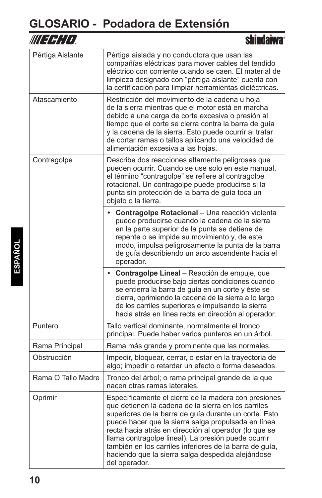| WLEEH LD           | <b>shindaiwa</b>                                                                                                                                                                                                                                                                                                                                                                                                                                                             |
|--------------------|------------------------------------------------------------------------------------------------------------------------------------------------------------------------------------------------------------------------------------------------------------------------------------------------------------------------------------------------------------------------------------------------------------------------------------------------------------------------------|
| Pértiga Aislante   | Pértiga aislada y no conductora que usan las<br>compañías eléctricas para mover cables del tendido<br>eléctrico con corriente cuando se caen. El material de<br>limpieza designado con "pértiga aislante" cuenta con<br>la certificación para limpiar herramientas dieléctricas.                                                                                                                                                                                             |
| Atascamiento       | Restricción del movimiento de la cadena u hoja<br>de la sierra mientras que el motor está en marcha<br>debido a una carga de corte excesiva o presión al<br>tiempo que el corte se cierra contra la barra de guía<br>y la cadena de la sierra. Esto puede ocurrir al tratar<br>de cortar ramas o tallos aplicando una velocidad de<br>alimentación excesiva a las hojas.                                                                                                     |
| Contragolpe        | Describe dos reacciones altamente peligrosas que<br>pueden ocurrir. Cuando se use solo en este manual,<br>el término "contragolpe" se refiere al contragolpe<br>rotacional. Un contragolpe puede producirse si la<br>punta sin protección de la barra de guía toca un<br>objeto o la tierra.                                                                                                                                                                                 |
|                    | Contragolpe Rotacional - Una reacción violenta<br>puede producirse cuando la cadena de la sierra<br>en la parte superior de la punta se detiene de<br>repente o se impide su movimiento y, de este<br>modo, impulsa peligrosamente la punta de la barra<br>de guía describiendo un arco ascendente hacia el<br>operador.                                                                                                                                                     |
|                    | • Contragolpe Lineal - Reacción de empuje, que<br>puede producirse bajo ciertas condiciones cuando<br>se entierra la barra de guía en un corte y éste se<br>cierra, oprimiendo la cadena de la sierra a lo largo<br>de los carriles superiores e impulsando la sierra<br>hacia atrás en línea recta en dirección al operador.                                                                                                                                                |
| Puntero            | Tallo vertical dominante, normalmente el tronco<br>principal. Puede haber varios punteros en un árbol.                                                                                                                                                                                                                                                                                                                                                                       |
| Rama Principal     | Rama más grande y prominente que las normales.                                                                                                                                                                                                                                                                                                                                                                                                                               |
| Obstrucción        | Impedir, bloquear, cerrar, o estar en la trayectoria de<br>algo; impedir o retardar un efecto o forma deseados.                                                                                                                                                                                                                                                                                                                                                              |
| Rama O Tallo Madre | Tronco del árbol; o rama principal grande de la que<br>nacen otras ramas laterales.                                                                                                                                                                                                                                                                                                                                                                                          |
| Oprimir            | Específicamente el cierre de la madera con presiones<br>que detienen la cadena de la sierra en los carriles<br>superiores de la barra de guía durante un corte. Esto<br>puede hacer que la sierra salga propulsada en línea<br>recta hacia atrás en dirección al operador (lo que se<br>llama contragolpe lineal). La presión puede ocurrir<br>también en los carriles inferiores de la barra de guía,<br>haciendo que la sierra salga despedida alejándose<br>del operador. |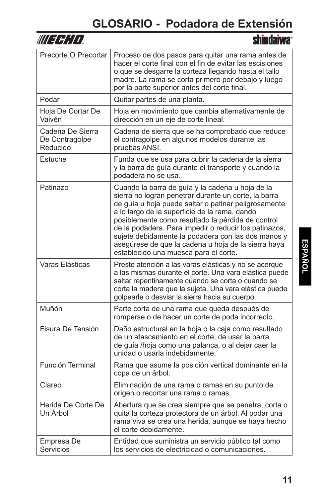| WIEHHTT                                        | <b>shindaiwa</b> ®                                                                                                                                                                                                                                                                                                                                                                                                                                                                    |
|------------------------------------------------|---------------------------------------------------------------------------------------------------------------------------------------------------------------------------------------------------------------------------------------------------------------------------------------------------------------------------------------------------------------------------------------------------------------------------------------------------------------------------------------|
| Precorte O Precortar                           | Proceso de dos pasos para quitar una rama antes de<br>hacer el corte final con el fin de evitar las escisiones<br>o que se desgarre la corteza llegando hasta el tallo<br>madre. La rama se corta primero por debajo y luego<br>por la parte superior antes del corte final.                                                                                                                                                                                                          |
| Podar                                          | Quitar partes de una planta.                                                                                                                                                                                                                                                                                                                                                                                                                                                          |
| Hoja De Cortar De<br>Vaivén                    | Hoja en movimiento que cambia alternativamente de<br>dirección en un eje de corte lineal.                                                                                                                                                                                                                                                                                                                                                                                             |
| Cadena De Sierra<br>De Contragolpe<br>Reducido | Cadena de sierra que se ha comprobado que reduce<br>el contragolpe en algunos modelos durante las<br>pruebas ANSI.                                                                                                                                                                                                                                                                                                                                                                    |
| Estuche                                        | Funda que se usa para cubrir la cadena de la sierra<br>y la barra de guía durante el transporte y cuando la<br>podadera no se usa.                                                                                                                                                                                                                                                                                                                                                    |
| Patinazo                                       | Cuando la barra de guía y la cadena u hoja de la<br>sierra no logran penetrar durante un corte, la barra<br>de guía u hoja puede saltar o patinar peligrosamente<br>a lo largo de la superficie de la rama, dando<br>posiblemente como resultado la pérdida de control<br>de la podadera. Para impedir o reducir los patinazos,<br>sujete debidamente la podadera con las dos manos y<br>asegúrese de que la cadena u hoja de la sierra haya<br>establecido una muesca para el corte. |
| Varas Elásticas                                | Preste atención a las varas elásticas y no se acerque<br>a las mismas durante el corte. Una vara elástica puede<br>saltar repentinamente cuando se corta o cuando se<br>corta la madera que la sujeta. Una vara elástica puede<br>golpearle o desviar la sierra hacia su cuerpo.                                                                                                                                                                                                      |
| Muñón                                          | Parte corta de una rama que queda después de<br>romperse o de hacer un corte de poda incorrecto.                                                                                                                                                                                                                                                                                                                                                                                      |
| Fisura De Tensión                              | Daño estructural en la hoja o la caja como resultado<br>de un atascamiento en el corte, de usar la barra<br>de guía /hoja como una palanca, o al dejar caer la<br>unidad o usarla indebidamente.                                                                                                                                                                                                                                                                                      |
| Función Terminal                               | Rama que asume la posición vertical dominante en la<br>copa de un árbol.                                                                                                                                                                                                                                                                                                                                                                                                              |
| Clareo                                         | Eliminación de una rama o ramas en su punto de<br>origen o recortar una rama o ramas.                                                                                                                                                                                                                                                                                                                                                                                                 |
| Herida De Corte De<br>Un Árbol                 | Abertura que se crea siempre que se penetra, corta o<br>quita la corteza protectora de un árbol. Al podar una<br>rama viva se crea una herida, aunque se haya hecho<br>el corte debidamente.                                                                                                                                                                                                                                                                                          |
| Empresa De<br>Servicios                        | Entidad que suministra un servicio público tal como<br>los servicios de electricidad o comunicaciones.                                                                                                                                                                                                                                                                                                                                                                                |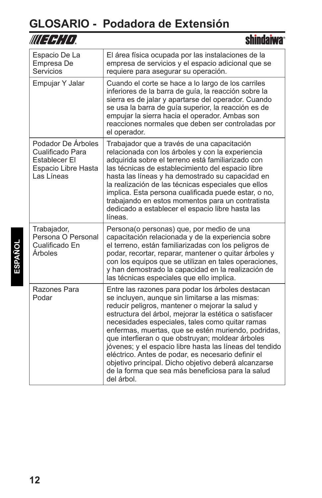$\overline{\phantom{a}}$ 

| UU 3 4 ; [ I ]                                                                               |                                                                                                                                                                                                                                                                                                                                                                                                                                                                                                                                                                                                                              |
|----------------------------------------------------------------------------------------------|------------------------------------------------------------------------------------------------------------------------------------------------------------------------------------------------------------------------------------------------------------------------------------------------------------------------------------------------------------------------------------------------------------------------------------------------------------------------------------------------------------------------------------------------------------------------------------------------------------------------------|
| Espacio De La<br>Empresa De<br>Servicios                                                     | El área física ocupada por las instalaciones de la<br>empresa de servicios y el espacio adicional que se<br>requiere para asegurar su operación.                                                                                                                                                                                                                                                                                                                                                                                                                                                                             |
| Empujar Y Jalar                                                                              | Cuando el corte se hace a lo largo de los carriles<br>inferiores de la barra de guía, la reacción sobre la<br>sierra es de jalar y apartarse del operador. Cuando<br>se usa la barra de guía superior, la reacción es de<br>empujar la sierra hacia el operador. Ambas son<br>reacciones normales que deben ser controladas por<br>el operador.                                                                                                                                                                                                                                                                              |
| Podador De Árboles<br>Cualificado Para<br>Establecer El<br>Espacio Libre Hasta<br>Las Líneas | Trabajador que a través de una capacitación<br>relacionada con los árboles y con la experiencia<br>adquirida sobre el terreno está familiarizado con<br>las técnicas de establecimiento del espacio libre<br>hasta las líneas y ha demostrado su capacidad en<br>la realización de las técnicas especiales que ellos<br>implica. Esta persona cualificada puede estar, o no,<br>trabajando en estos momentos para un contratista<br>dedicado a establecer el espacio libre hasta las<br>líneas.                                                                                                                              |
| Trabajador,<br>Persona O Personal<br>Cualificado En<br><b>Árboles</b>                        | Persona(o personas) que, por medio de una<br>capacitación relacionada y de la experiencia sobre<br>el terreno, están familiarizadas con los peligros de<br>podar, recortar, reparar, mantener o quitar árboles y<br>con los equipos que se utilizan en tales operaciones,<br>y han demostrado la capacidad en la realización de<br>las técnicas especiales que ello implica.                                                                                                                                                                                                                                                 |
| Razones Para<br>Podar                                                                        | Entre las razones para podar los árboles destacan<br>se incluyen, aunque sin limitarse a las mismas:<br>reducir peligros, mantener o mejorar la salud y<br>estructura del árbol, mejorar la estética o satisfacer<br>necesidades especiales, tales como quitar ramas<br>enfermas, muertas, que se estén muriendo, podridas,<br>que interfieran o que obstruyan; moldear árboles<br>jóvenes; y el espacio libre hasta las líneas del tendido<br>eléctrico. Antes de podar, es necesario definir el<br>objetivo principal. Dicho objetivo deberá alcanzarse<br>de la forma que sea más beneficiosa para la salud<br>del árbol. |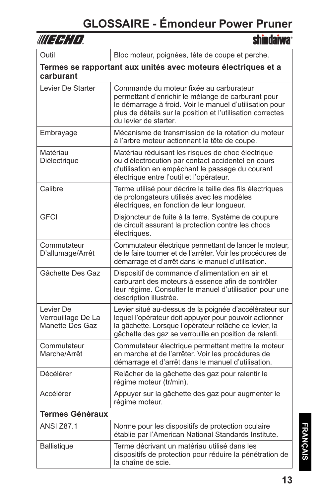| WUEFH'LD,                                                                  | <b>shindaiwa</b> ®                                                                                                                                                                                                                              |  |
|----------------------------------------------------------------------------|-------------------------------------------------------------------------------------------------------------------------------------------------------------------------------------------------------------------------------------------------|--|
| Outil                                                                      | Bloc moteur, poignées, tête de coupe et perche.                                                                                                                                                                                                 |  |
| Termes se rapportant aux unités avec moteurs électriques et a<br>carburant |                                                                                                                                                                                                                                                 |  |
| Levier De Starter                                                          | Commande du moteur fixée au carburateur<br>permettant d'enrichir le mélange de carburant pour<br>le démarrage à froid. Voir le manuel d'utilisation pour<br>plus de détails sur la position et l'utilisation correctes<br>du levier de starter. |  |
| Embrayage                                                                  | Mécanisme de transmission de la rotation du moteur<br>à l'arbre moteur actionnant la tête de coupe.                                                                                                                                             |  |
| Matériau<br>Diélectrique                                                   | Matériau réduisant les risques de choc électrique<br>ou d'électrocution par contact accidentel en cours<br>d'utilisation en empêchant le passage du courant<br>électrique entre l'outil et l'opérateur.                                         |  |
| Calibre                                                                    | Terme utilisé pour décrire la taille des fils électriques<br>de prolongateurs utilisés avec les modèles<br>électriques, en fonction de leur longueur.                                                                                           |  |
| <b>GFCI</b>                                                                | Disjoncteur de fuite à la terre. Système de coupure<br>de circuit assurant la protection contre les chocs<br>électriques.                                                                                                                       |  |
| Commutateur<br>D'allumage/Arrêt                                            | Commutateur électrique permettant de lancer le moteur,<br>de le faire tourner et de l'arrêter. Voir les procédures de<br>démarrage et d'arrêt dans le manuel d'utilisation.                                                                     |  |
| Gâchette Des Gaz                                                           | Dispositif de commande d'alimentation en air et<br>carburant des moteurs à essence afin de contrôler<br>leur régime. Consulter le manuel d'utilisation pour une<br>description illustrée.                                                       |  |
| Levier De<br>Verrouillage De La<br>Manette Des Gaz                         | Levier situé au-dessus de la poignée d'accélérateur sur<br>lequel l'opérateur doit appuyer pour pouvoir actionner<br>la gâchette. Lorsque l'opérateur relâche ce levier, la<br>gâchette des gaz se verrouille en position de ralenti.           |  |
| Commutateur<br>Marche/Arrêt                                                | Commutateur électrique permettant mettre le moteur<br>en marche et de l'arrêter. Voir les procédures de<br>démarrage et d'arrêt dans le manuel d'utilisation.                                                                                   |  |
| Décélérer                                                                  | Relâcher de la gâchette des gaz pour ralentir le<br>régime moteur (tr/min).                                                                                                                                                                     |  |
| Accélérer                                                                  | Appuyer sur la gâchette des gaz pour augmenter le<br>régime moteur.                                                                                                                                                                             |  |
| <b>Termes Généraux</b>                                                     |                                                                                                                                                                                                                                                 |  |
| <b>ANSI Z87.1</b>                                                          | Norme pour les dispositifs de protection oculaire<br>établie par l'American National Standards Institute.                                                                                                                                       |  |
| <b>Ballistique</b>                                                         | Terme décrivant un matériau utilisé dans les<br>dispositifs de protection pour réduire la pénétration de<br>la chaîne de scie.                                                                                                                  |  |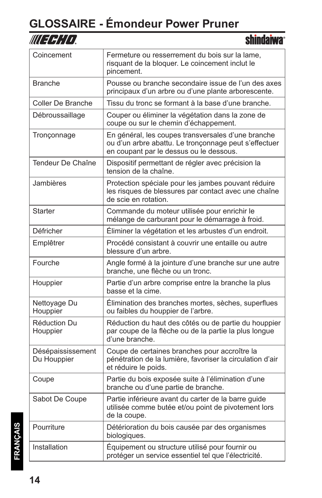| WUEBHD.                          | <b>shindaiwa</b> ®                                                                                                                                     |
|----------------------------------|--------------------------------------------------------------------------------------------------------------------------------------------------------|
| Coincement                       | Fermeture ou resserrement du bois sur la lame,<br>risquant de la bloquer. Le coincement inclut le<br>pincement.                                        |
| <b>Branche</b>                   | Pousse ou branche secondaire issue de l'un des axes<br>principaux d'un arbre ou d'une plante arborescente.                                             |
| <b>Coller De Branche</b>         | Tissu du tronc se formant à la base d'une branche.                                                                                                     |
| Débroussaillage                  | Couper ou éliminer la végétation dans la zone de<br>coupe ou sur le chemin d'échappement.                                                              |
| Tronçonnage                      | En général, les coupes transversales d'une branche<br>ou d'un arbre abattu. Le tronçonnage peut s'effectuer<br>en coupant par le dessus ou le dessous. |
| Tendeur De Chaîne                | Dispositif permettant de régler avec précision la<br>tension de la chaîne.                                                                             |
| Jambières                        | Protection spéciale pour les jambes pouvant réduire<br>les risques de blessures par contact avec une chaîne<br>de scie en rotation.                    |
| Starter                          | Commande du moteur utilisée pour enrichir le<br>mélange de carburant pour le démarrage à froid.                                                        |
| Défricher                        | Éliminer la végétation et les arbustes d'un endroit.                                                                                                   |
| Emplêtrer                        | Procédé consistant à couvrir une entaille ou autre<br>blessure d'un arbre.                                                                             |
| Fourche                          | Angle formé à la jointure d'une branche sur une autre<br>branche, une flèche ou un tronc.                                                              |
| Houppier                         | Partie d'un arbre comprise entre la branche la plus<br>basse et la cime.                                                                               |
| Nettoyage Du<br>Houppier         | Élimination des branches mortes, sèches, superflues<br>ou faibles du houppier de l'arbre.                                                              |
| Réduction Du<br>Houppier         | Réduction du haut des côtés ou de partie du houppier<br>par coupe de la flèche ou de la partie la plus longue<br>d'une branche.                        |
| Désépaississement<br>Du Houppier | Coupe de certaines branches pour accroître la<br>pénétration de la lumière, favoriser la circulation d'air<br>et réduire le poids.                     |
| Coupe                            | Partie du bois exposée suite à l'élimination d'une<br>branche ou d'une partie de branche.                                                              |
| Sabot De Coupe                   | Partie inférieure avant du carter de la barre guide<br>utilisée comme butée et/ou point de pivotement lors<br>de la coupe.                             |
| Pourriture                       | Détérioration du bois causée par des organismes<br>biologiques.                                                                                        |
| Installation                     | Équipement ou structure utilisé pour fournir ou<br>protéger un service essentiel tel que l'électricité.                                                |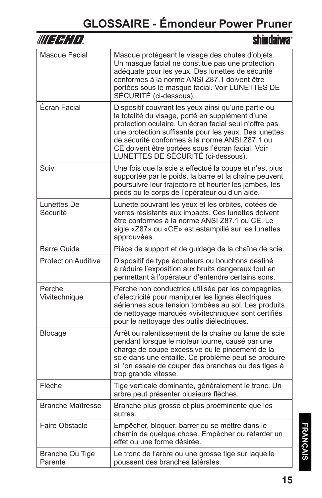| WU 39:11                   | shindaiwa                                                                                                                                                                                                                                                                                                                                                              |
|----------------------------|------------------------------------------------------------------------------------------------------------------------------------------------------------------------------------------------------------------------------------------------------------------------------------------------------------------------------------------------------------------------|
| Masque Facial              | Masque protégeant le visage des chutes d'objets.<br>Un masque facial ne constitue pas une protection<br>adéquate pour les yeux. Des lunettes de sécurité<br>conformes à la norme ANSI Z87.1 doivent être<br>portées sous le masque facial. Voir LUNETTES DE<br>SÉCURITÉ (ci-dessous).                                                                                  |
| Écran Facial               | Dispositif couvrant les yeux ainsi qu'une partie ou<br>la totalité du visage, porté en supplément d'une<br>protection oculaire. Un écran facial seul n'offre pas<br>une protection suffisante pour les yeux. Des lunettes<br>de sécurité conformes à la norme ANSI Z87.1 ou<br>CE doivent être portées sous l'écran facial. Voir<br>LUNETTES DE SÉCURITÉ (ci-dessous). |
| Suivi                      | Une fois que la scie a effectué la coupe et n'est plus<br>supportée par le poids, la barre et la chaîne peuvent<br>poursuivre leur trajectoire et heurter les jambes, les<br>pieds ou le corps de l'opérateur ou d'un aide.                                                                                                                                            |
| Lunettes De<br>Sécurité    | Lunette couvrant les yeux et les orbites, dotées de<br>verres résistants aux impacts. Ces lunettes doivent<br>être conformes à la norme ANSI Z87.1 ou CE. Le<br>sigle «Z87» ou «CE» est estampillé sur les lunettes<br>approuvées.                                                                                                                                     |
| <b>Barre Guide</b>         | Pièce de support et de guidage de la chaîne de scie.                                                                                                                                                                                                                                                                                                                   |
| <b>Protection Auditive</b> | Dispositif de type écouteurs ou bouchons destiné<br>à réduire l'exposition aux bruits dangereux tout en<br>permettant à l'opérateur d'entendre certains sons.                                                                                                                                                                                                          |
| Perche<br>Vivitechnique    | Perche non conductrice utilisée par les compagnies<br>d'électricité pour manipuler les lignes électriques<br>aériennes sous tension tombées au sol. Les produits<br>de nettoyage marqués «vivitechnique» sont certifiés<br>pour le nettoyage des outils diélectriques.                                                                                                 |
| <b>Blocage</b>             | Arrêt ou ralentissement de la chaîne ou lame de scie<br>pendant lorsque le moteur tourne, causé par une<br>charge de coupe excessive ou le pincement de la<br>scie dans une entaille. Ce problème peut se produire<br>si l'on essaie de couper des branches ou des tiges à<br>trop grande vitesse.                                                                     |
| Flèche                     | Tige verticale dominante, généralement le tronc. Un<br>arbre peut présenter plusieurs flèches.                                                                                                                                                                                                                                                                         |
| <b>Branche Maîtresse</b>   | Branche plus grosse et plus proéminente que les<br>autres.                                                                                                                                                                                                                                                                                                             |
| Faire Obstacle             | Empêcher, bloquer, barrer ou se mettre dans le<br>chemin de quelque chose. Empêcher ou retarder un<br>effet ou une forme désirée.                                                                                                                                                                                                                                      |
| Branche Ou Tige<br>Parente | Le tronc de l'arbre ou une grosse tige sur laquelle<br>poussent des branches latérales.                                                                                                                                                                                                                                                                                |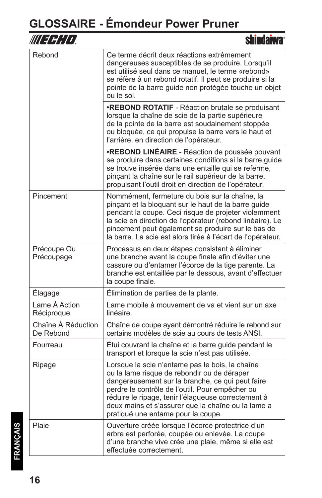| III I H¦[1]                     |                                                                                                                                                                                                                                                                                                                                                          |
|---------------------------------|----------------------------------------------------------------------------------------------------------------------------------------------------------------------------------------------------------------------------------------------------------------------------------------------------------------------------------------------------------|
| Rebond                          | Ce terme décrit deux réactions extrêmement<br>dangereuses susceptibles de se produire. Lorsqu'il<br>est utilisé seul dans ce manuel, le terme «rebond»<br>se réfère à un rebond rotatif. Il peut se produire si la<br>pointe de la barre guide non protégée touche un objet<br>ou le sol.                                                                |
|                                 | <b>.REBOND ROTATIF</b> - Réaction brutale se produisant<br>lorsque la chaîne de scie de la partie supérieure<br>de la pointe de la barre est soudainement stoppée<br>ou bloquée, ce qui propulse la barre vers le haut et<br>l'arrière, en direction de l'opérateur.                                                                                     |
|                                 | <b>·REBOND LINÉAIRE</b> - Réaction de poussée pouvant<br>se produire dans certaines conditions si la barre guide<br>se trouve insérée dans une entaille qui se referme,<br>pinçant la chaîne sur le rail supérieur de la barre,<br>propulsant l'outil droit en direction de l'opérateur.                                                                 |
| Pincement                       | Nommément, fermeture du bois sur la chaîne, la<br>pinçant et la bloquant sur le haut de la barre guide<br>pendant la coupe. Ceci risque de projeter violemment<br>la scie en direction de l'opérateur (rebond linéaire). Le<br>pincement peut également se produire sur le bas de<br>la barre. La scie est alors tirée à l'écart de l'opérateur.         |
| Précoupe Ou<br>Précoupage       | Processus en deux étapes consistant à éliminer<br>une branche avant la coupe finale afin d'éviter une<br>cassure ou d'entamer l'écorce de la tige parente. La<br>branche est entaillée par le dessous, avant d'effectuer<br>la coupe finale.                                                                                                             |
| Élagage                         | Élimination de parties de la plante.                                                                                                                                                                                                                                                                                                                     |
| Lame À Action<br>Réciproque     | Lame mobile à mouvement de va et vient sur un axe<br>linéaire.                                                                                                                                                                                                                                                                                           |
| Chaîne À Réduction<br>De Rebond | Chaîne de coupe ayant démontré réduire le rebond sur<br>certains modèles de scie au cours de tests ANSI.                                                                                                                                                                                                                                                 |
| Fourreau                        | Étui couvrant la chaîne et la barre guide pendant le<br>transport et lorsque la scie n'est pas utilisée.                                                                                                                                                                                                                                                 |
| Ripage                          | Lorsque la scie n'entame pas le bois, la chaîne<br>ou la lame risque de rebondir ou de déraper<br>dangereusement sur la branche, ce qui peut faire<br>perdre le contrôle de l'outil. Pour empêcher ou<br>réduire le ripage, tenir l'élagueuse correctement à<br>deux mains et s'assurer que la chaîne ou la lame a<br>pratiqué une entame pour la coupe. |
| Plaie                           | Ouverture créée lorsque l'écorce protectrice d'un<br>arbre est perforée, coupée ou enlevée. La coupe<br>d'une branche vive crée une plaie, même si elle est<br>effectuée correctement.                                                                                                                                                                   |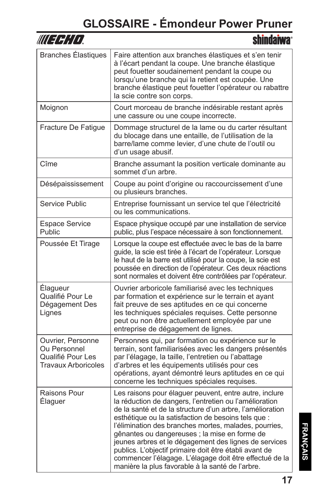| WUEFHIO                                                                              | shindaiwa®                                                                                                                                                                                                                                                                                                                                                                                                                                                                                                                                                                       |
|--------------------------------------------------------------------------------------|----------------------------------------------------------------------------------------------------------------------------------------------------------------------------------------------------------------------------------------------------------------------------------------------------------------------------------------------------------------------------------------------------------------------------------------------------------------------------------------------------------------------------------------------------------------------------------|
| <b>Branches Élastiques</b>                                                           | Faire attention aux branches élastiques et s'en tenir<br>à l'écart pendant la coupe. Une branche élastique<br>peut fouetter soudainement pendant la coupe ou<br>lorsqu'une branche qui la retient est coupée. Une<br>branche élastique peut fouetter l'opérateur ou rabattre<br>la scie contre son corps.                                                                                                                                                                                                                                                                        |
| Moignon                                                                              | Court morceau de branche indésirable restant après<br>une cassure ou une coupe incorrecte.                                                                                                                                                                                                                                                                                                                                                                                                                                                                                       |
| Fracture De Fatigue                                                                  | Dommage structurel de la lame ou du carter résultant<br>du blocage dans une entaille, de l'utilisation de la<br>barre/lame comme levier, d'une chute de l'outil ou<br>d'un usage abusif.                                                                                                                                                                                                                                                                                                                                                                                         |
| Cîme                                                                                 | Branche assumant la position verticale dominante au<br>sommet d'un arbre.                                                                                                                                                                                                                                                                                                                                                                                                                                                                                                        |
| Désépaississement                                                                    | Coupe au point d'origine ou raccourcissement d'une<br>ou plusieurs branches.                                                                                                                                                                                                                                                                                                                                                                                                                                                                                                     |
| Service Public                                                                       | Entreprise fournissant un service tel que l'électricité<br>ou les communications.                                                                                                                                                                                                                                                                                                                                                                                                                                                                                                |
| <b>Espace Service</b><br>Public                                                      | Espace physique occupé par une installation de service<br>public, plus l'espace nécessaire à son fonctionnement.                                                                                                                                                                                                                                                                                                                                                                                                                                                                 |
| Poussée Et Tirage                                                                    | Lorsque la coupe est effectuée avec le bas de la barre<br>guide, la scie est tirée à l'écart de l'opérateur. Lorsque<br>le haut de la barre est utilisé pour la coupe, la scie est<br>poussée en direction de l'opérateur. Ces deux réactions<br>sont normales et doivent être contrôlées par l'opérateur.                                                                                                                                                                                                                                                                       |
| Élagueur<br>Qualifié Pour Le<br>Dégagement Des<br>Lignes                             | Ouvrier arboricole familiarisé avec les techniques<br>par formation et expérience sur le terrain et ayant<br>fait preuve de ses aptitudes en ce qui concerne<br>les techniques spéciales requises. Cette personne<br>peut ou non être actuellement employée par une<br>entreprise de dégagement de lignes.                                                                                                                                                                                                                                                                       |
| Ouvrier, Personne<br>Ou Personnel<br>Qualifié Pour Les<br><b>Travaux Arboricoles</b> | Personnes qui, par formation ou expérience sur le<br>terrain, sont familiarisées avec les dangers présentés<br>par l'élagage, la taille, l'entretien ou l'abattage<br>d'arbres et les équipements utilisés pour ces<br>opérations, ayant démontré leurs aptitudes en ce qui<br>concerne les techniques spéciales requises.                                                                                                                                                                                                                                                       |
| Raisons Pour<br>Elaguer                                                              | Les raisons pour élaguer peuvent, entre autre, inclure<br>la réduction de dangers, l'entretien ou l'amélioration<br>de la santé et de la structure d'un arbre, l'amélioration<br>esthétique ou la satisfaction de besoins tels que :<br>l'élimination des branches mortes, malades, pourries,<br>gênantes ou dangereuses ; la mise en forme de<br>jeunes arbres et le dégagement des lignes de services<br>publics. L'objectif primaire doit être établi avant de<br>commencer l'élagage. L'élagage doit être effectué de la<br>manière la plus favorable à la santé de l'arbre. |